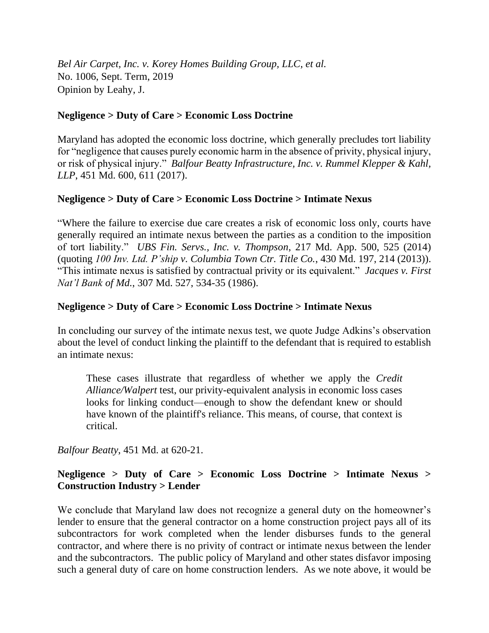*Bel Air Carpet, Inc. v. Korey Homes Building Group, LLC, et al.* No. 1006, Sept. Term, 2019 Opinion by Leahy, J.

## **Negligence > Duty of Care > Economic Loss Doctrine**

Maryland has adopted the economic loss doctrine, which generally precludes tort liability for "negligence that causes purely economic harm in the absence of privity, physical injury, or risk of physical injury." *Balfour Beatty Infrastructure, Inc. v. Rummel Klepper & Kahl, LLP*, 451 Md. 600, 611 (2017).

# **Negligence > Duty of Care > Economic Loss Doctrine > Intimate Nexus**

"Where the failure to exercise due care creates a risk of economic loss only, courts have generally required an intimate nexus between the parties as a condition to the imposition of tort liability." *UBS Fin. Servs., Inc. v. Thompson*, 217 Md. App. 500, 525 (2014) (quoting *100 Inv. Ltd. P'ship v. Columbia Town Ctr. Title Co.*, 430 Md. 197, 214 (2013)). "This intimate nexus is satisfied by contractual privity or its equivalent." *Jacques v. First Nat'l Bank of Md.*, 307 Md. 527, 534-35 (1986).

# **Negligence > Duty of Care > Economic Loss Doctrine > Intimate Nexus**

In concluding our survey of the intimate nexus test, we quote Judge Adkins's observation about the level of conduct linking the plaintiff to the defendant that is required to establish an intimate nexus:

These cases illustrate that regardless of whether we apply the *Credit Alliance/Walpert* test, our privity-equivalent analysis in economic loss cases looks for linking conduct—enough to show the defendant knew or should have known of the plaintiff's reliance. This means, of course, that context is critical.

*Balfour Beatty*, 451 Md. at 620-21.

# **Negligence > Duty of Care > Economic Loss Doctrine > Intimate Nexus > Construction Industry > Lender**

We conclude that Maryland law does not recognize a general duty on the homeowner's lender to ensure that the general contractor on a home construction project pays all of its subcontractors for work completed when the lender disburses funds to the general contractor, and where there is no privity of contract or intimate nexus between the lender and the subcontractors. The public policy of Maryland and other states disfavor imposing such a general duty of care on home construction lenders. As we note above, it would be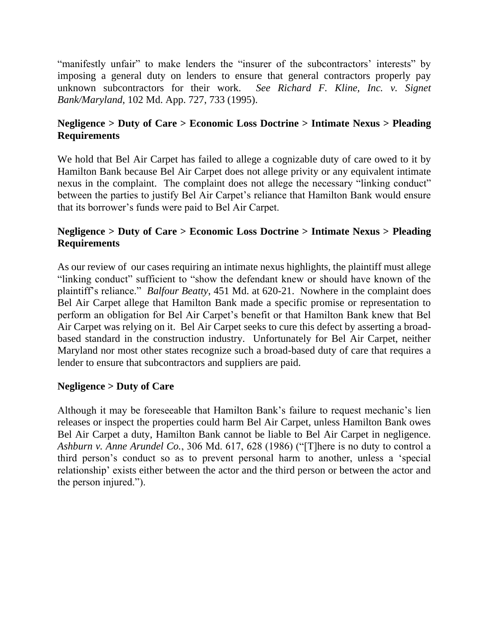"manifestly unfair" to make lenders the "insurer of the subcontractors' interests" by imposing a general duty on lenders to ensure that general contractors properly pay unknown subcontractors for their work. *See Richard F. Kline, Inc. v. Signet Bank/Maryland*, 102 Md. App. 727, 733 (1995).

# **Negligence > Duty of Care > Economic Loss Doctrine > Intimate Nexus > Pleading Requirements**

We hold that Bel Air Carpet has failed to allege a cognizable duty of care owed to it by Hamilton Bank because Bel Air Carpet does not allege privity or any equivalent intimate nexus in the complaint. The complaint does not allege the necessary "linking conduct" between the parties to justify Bel Air Carpet's reliance that Hamilton Bank would ensure that its borrower's funds were paid to Bel Air Carpet.

# **Negligence > Duty of Care > Economic Loss Doctrine > Intimate Nexus > Pleading Requirements**

As our review of our cases requiring an intimate nexus highlights, the plaintiff must allege "linking conduct" sufficient to "show the defendant knew or should have known of the plaintiff's reliance." *Balfour Beatty*, 451 Md. at 620-21. Nowhere in the complaint does Bel Air Carpet allege that Hamilton Bank made a specific promise or representation to perform an obligation for Bel Air Carpet's benefit or that Hamilton Bank knew that Bel Air Carpet was relying on it. Bel Air Carpet seeks to cure this defect by asserting a broadbased standard in the construction industry. Unfortunately for Bel Air Carpet, neither Maryland nor most other states recognize such a broad-based duty of care that requires a lender to ensure that subcontractors and suppliers are paid.

## **Negligence > Duty of Care**

Although it may be foreseeable that Hamilton Bank's failure to request mechanic's lien releases or inspect the properties could harm Bel Air Carpet, unless Hamilton Bank owes Bel Air Carpet a duty, Hamilton Bank cannot be liable to Bel Air Carpet in negligence. *Ashburn v. Anne Arundel Co.*, 306 Md. 617, 628 (1986) ("[T]here is no duty to control a third person's conduct so as to prevent personal harm to another, unless a 'special relationship' exists either between the actor and the third person or between the actor and the person injured.").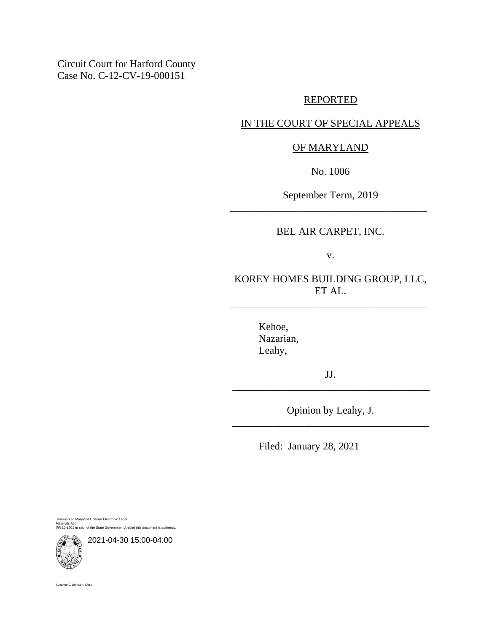Circuit Court for Harford County Case No. C-12-CV-19-000151

## REPORTED

## IN THE COURT OF SPECIAL APPEALS

## OF MARYLAND

No. 1006

September Term, 2019 \_\_\_\_\_\_\_\_\_\_\_\_\_\_\_\_\_\_\_\_\_\_\_\_\_\_\_\_\_\_\_\_\_\_\_\_\_\_

BEL AIR CARPET, INC.

v.

KOREY HOMES BUILDING GROUP, LLC, ET AL.

\_\_\_\_\_\_\_\_\_\_\_\_\_\_\_\_\_\_\_\_\_\_\_\_\_\_\_\_\_\_\_\_\_\_\_\_\_\_

Kehoe, Nazarian, Leahy,

JJ. \_\_\_\_\_\_\_\_\_\_\_\_\_\_\_\_\_\_\_\_\_\_\_\_\_\_\_\_\_\_\_\_\_\_\_\_\_\_

Opinion by Leahy, J. \_\_\_\_\_\_\_\_\_\_\_\_\_\_\_\_\_\_\_\_\_\_\_\_\_\_\_\_\_\_\_\_\_\_\_\_\_\_

Filed: January 28, 2021

Pursuant to Maryland Uniform Electronic Legal Materials Act (§§ 10-1601 et seq. of the State Government Article) this document is authentic.



2021-04-30 15:00-04:00

Suzanne C. Johnson, Clerk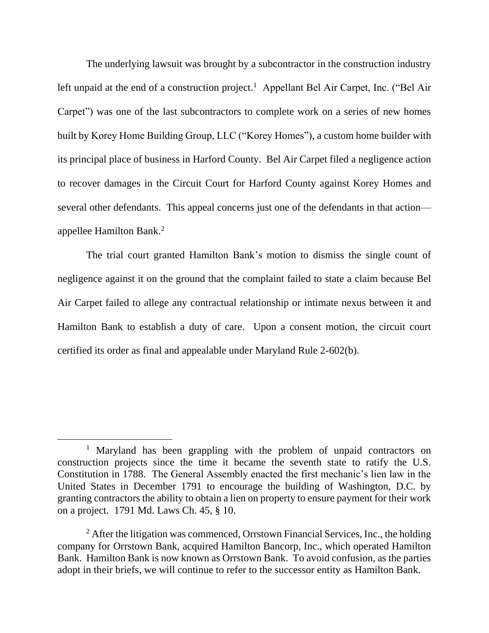The underlying lawsuit was brought by a subcontractor in the construction industry left unpaid at the end of a construction project.<sup>1</sup> Appellant Bel Air Carpet, Inc. ("Bel Air Carpet") was one of the last subcontractors to complete work on a series of new homes built by Korey Home Building Group, LLC ("Korey Homes"), a custom home builder with its principal place of business in Harford County. Bel Air Carpet filed a negligence action to recover damages in the Circuit Court for Harford County against Korey Homes and several other defendants. This appeal concerns just one of the defendants in that action appellee Hamilton Bank. 2

The trial court granted Hamilton Bank's motion to dismiss the single count of negligence against it on the ground that the complaint failed to state a claim because Bel Air Carpet failed to allege any contractual relationship or intimate nexus between it and Hamilton Bank to establish a duty of care. Upon a consent motion, the circuit court certified its order as final and appealable under Maryland Rule 2-602(b).

<sup>&</sup>lt;sup>1</sup> Maryland has been grappling with the problem of unpaid contractors on construction projects since the time it became the seventh state to ratify the U.S. Constitution in 1788. The General Assembly enacted the first mechanic's lien law in the United States in December 1791 to encourage the building of Washington, D.C. by granting contractors the ability to obtain a lien on property to ensure payment for their work on a project. 1791 Md. Laws Ch. 45, § 10.

 $2$  After the litigation was commenced, Orrstown Financial Services, Inc., the holding company for Orrstown Bank, acquired Hamilton Bancorp, Inc., which operated Hamilton Bank. Hamilton Bank is now known as Orrstown Bank. To avoid confusion, as the parties adopt in their briefs, we will continue to refer to the successor entity as Hamilton Bank.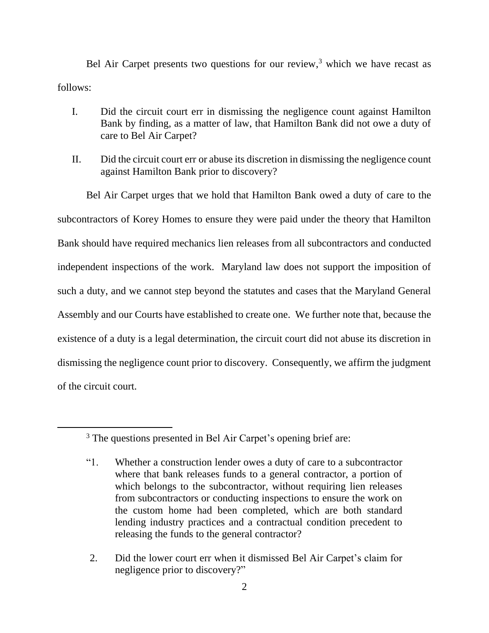Bel Air Carpet presents two questions for our review, $3$  which we have recast as follows:

- I. Did the circuit court err in dismissing the negligence count against Hamilton Bank by finding, as a matter of law, that Hamilton Bank did not owe a duty of care to Bel Air Carpet?
- II. Did the circuit court err or abuse its discretion in dismissing the negligence count against Hamilton Bank prior to discovery?

Bel Air Carpet urges that we hold that Hamilton Bank owed a duty of care to the subcontractors of Korey Homes to ensure they were paid under the theory that Hamilton Bank should have required mechanics lien releases from all subcontractors and conducted independent inspections of the work. Maryland law does not support the imposition of such a duty, and we cannot step beyond the statutes and cases that the Maryland General Assembly and our Courts have established to create one. We further note that, because the existence of a duty is a legal determination, the circuit court did not abuse its discretion in dismissing the negligence count prior to discovery. Consequently, we affirm the judgment of the circuit court.

2. Did the lower court err when it dismissed Bel Air Carpet's claim for negligence prior to discovery?"

<sup>&</sup>lt;sup>3</sup> The questions presented in Bel Air Carpet's opening brief are:

<sup>&</sup>quot;1. Whether a construction lender owes a duty of care to a subcontractor where that bank releases funds to a general contractor, a portion of which belongs to the subcontractor, without requiring lien releases from subcontractors or conducting inspections to ensure the work on the custom home had been completed, which are both standard lending industry practices and a contractual condition precedent to releasing the funds to the general contractor?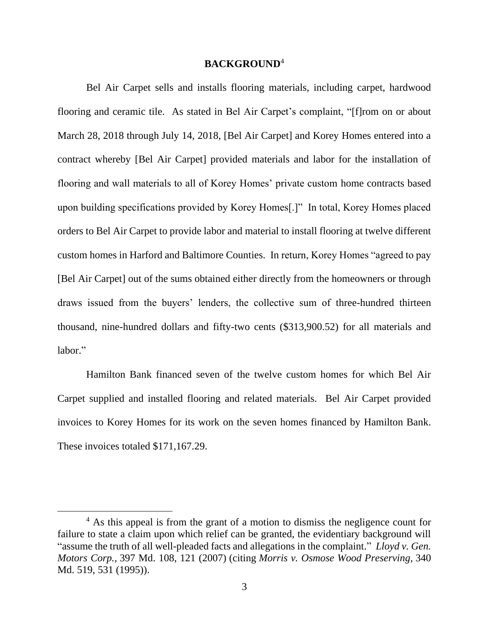### **BACKGROUND**<sup>4</sup>

Bel Air Carpet sells and installs flooring materials, including carpet, hardwood flooring and ceramic tile. As stated in Bel Air Carpet's complaint, "[f]rom on or about March 28, 2018 through July 14, 2018, [Bel Air Carpet] and Korey Homes entered into a contract whereby [Bel Air Carpet] provided materials and labor for the installation of flooring and wall materials to all of Korey Homes' private custom home contracts based upon building specifications provided by Korey Homes[.]" In total, Korey Homes placed orders to Bel Air Carpet to provide labor and material to install flooring at twelve different custom homes in Harford and Baltimore Counties. In return, Korey Homes "agreed to pay [Bel Air Carpet] out of the sums obtained either directly from the homeowners or through draws issued from the buyers' lenders, the collective sum of three-hundred thirteen thousand, nine-hundred dollars and fifty-two cents (\$313,900.52) for all materials and labor."

Hamilton Bank financed seven of the twelve custom homes for which Bel Air Carpet supplied and installed flooring and related materials. Bel Air Carpet provided invoices to Korey Homes for its work on the seven homes financed by Hamilton Bank. These invoices totaled \$171,167.29.

<sup>&</sup>lt;sup>4</sup> As this appeal is from the grant of a motion to dismiss the negligence count for failure to state a claim upon which relief can be granted, the evidentiary background will "assume the truth of all well-pleaded facts and allegations in the complaint." *Lloyd v. Gen. Motors Corp.,* 397 Md. 108, 121 (2007) (citing *Morris v. Osmose Wood Preserving,* 340 Md. 519, 531 (1995)).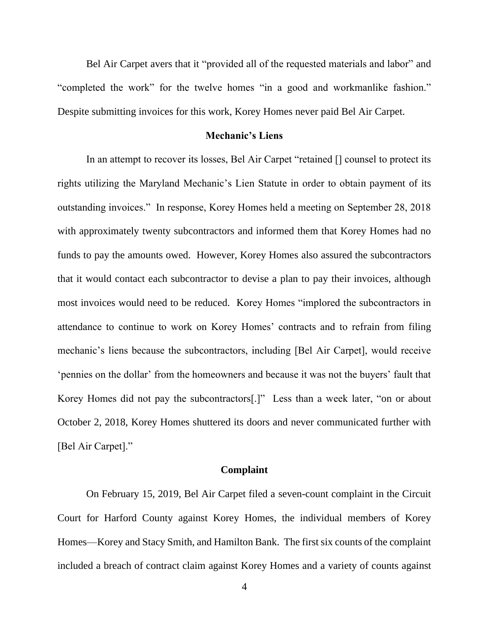Bel Air Carpet avers that it "provided all of the requested materials and labor" and "completed the work" for the twelve homes "in a good and workmanlike fashion." Despite submitting invoices for this work, Korey Homes never paid Bel Air Carpet.

### **Mechanic's Liens**

In an attempt to recover its losses, Bel Air Carpet "retained  $\Box$  counsel to protect its rights utilizing the Maryland Mechanic's Lien Statute in order to obtain payment of its outstanding invoices." In response, Korey Homes held a meeting on September 28, 2018 with approximately twenty subcontractors and informed them that Korey Homes had no funds to pay the amounts owed. However, Korey Homes also assured the subcontractors that it would contact each subcontractor to devise a plan to pay their invoices, although most invoices would need to be reduced. Korey Homes "implored the subcontractors in attendance to continue to work on Korey Homes' contracts and to refrain from filing mechanic's liens because the subcontractors, including [Bel Air Carpet], would receive 'pennies on the dollar' from the homeowners and because it was not the buyers' fault that Korey Homes did not pay the subcontractors[.]" Less than a week later, "on or about October 2, 2018, Korey Homes shuttered its doors and never communicated further with [Bel Air Carpet]."

## **Complaint**

On February 15, 2019, Bel Air Carpet filed a seven-count complaint in the Circuit Court for Harford County against Korey Homes, the individual members of Korey Homes—Korey and Stacy Smith, and Hamilton Bank. The first six counts of the complaint included a breach of contract claim against Korey Homes and a variety of counts against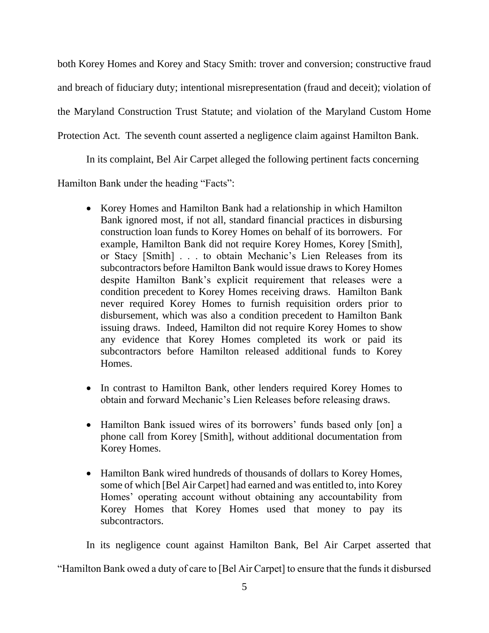both Korey Homes and Korey and Stacy Smith: trover and conversion; constructive fraud and breach of fiduciary duty; intentional misrepresentation (fraud and deceit); violation of the Maryland Construction Trust Statute; and violation of the Maryland Custom Home Protection Act. The seventh count asserted a negligence claim against Hamilton Bank.

In its complaint, Bel Air Carpet alleged the following pertinent facts concerning

Hamilton Bank under the heading "Facts":

- Korey Homes and Hamilton Bank had a relationship in which Hamilton Bank ignored most, if not all, standard financial practices in disbursing construction loan funds to Korey Homes on behalf of its borrowers. For example, Hamilton Bank did not require Korey Homes, Korey [Smith], or Stacy [Smith] . . . to obtain Mechanic's Lien Releases from its subcontractors before Hamilton Bank would issue draws to Korey Homes despite Hamilton Bank's explicit requirement that releases were a condition precedent to Korey Homes receiving draws. Hamilton Bank never required Korey Homes to furnish requisition orders prior to disbursement, which was also a condition precedent to Hamilton Bank issuing draws. Indeed, Hamilton did not require Korey Homes to show any evidence that Korey Homes completed its work or paid its subcontractors before Hamilton released additional funds to Korey Homes.
- In contrast to Hamilton Bank, other lenders required Korey Homes to obtain and forward Mechanic's Lien Releases before releasing draws.
- Hamilton Bank issued wires of its borrowers' funds based only [on] a phone call from Korey [Smith], without additional documentation from Korey Homes.
- Hamilton Bank wired hundreds of thousands of dollars to Korey Homes, some of which [Bel Air Carpet] had earned and was entitled to, into Korey Homes' operating account without obtaining any accountability from Korey Homes that Korey Homes used that money to pay its subcontractors.

In its negligence count against Hamilton Bank, Bel Air Carpet asserted that "Hamilton Bank owed a duty of care to [Bel Air Carpet] to ensure that the funds it disbursed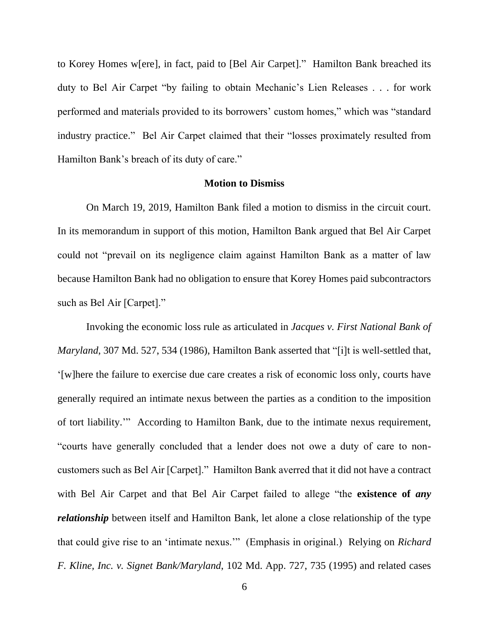to Korey Homes w[ere], in fact, paid to [Bel Air Carpet]." Hamilton Bank breached its duty to Bel Air Carpet "by failing to obtain Mechanic's Lien Releases . . . for work performed and materials provided to its borrowers' custom homes," which was "standard industry practice." Bel Air Carpet claimed that their "losses proximately resulted from Hamilton Bank's breach of its duty of care."

### **Motion to Dismiss**

On March 19, 2019, Hamilton Bank filed a motion to dismiss in the circuit court. In its memorandum in support of this motion, Hamilton Bank argued that Bel Air Carpet could not "prevail on its negligence claim against Hamilton Bank as a matter of law because Hamilton Bank had no obligation to ensure that Korey Homes paid subcontractors such as Bel Air [Carpet]."

Invoking the economic loss rule as articulated in *Jacques v. First National Bank of Maryland*, 307 Md. 527, 534 (1986), Hamilton Bank asserted that "[i]t is well-settled that, '[w]here the failure to exercise due care creates a risk of economic loss only, courts have generally required an intimate nexus between the parties as a condition to the imposition of tort liability.'" According to Hamilton Bank, due to the intimate nexus requirement, "courts have generally concluded that a lender does not owe a duty of care to noncustomers such as Bel Air [Carpet]." Hamilton Bank averred that it did not have a contract with Bel Air Carpet and that Bel Air Carpet failed to allege "the **existence of** *any relationship* between itself and Hamilton Bank, let alone a close relationship of the type that could give rise to an 'intimate nexus.'" (Emphasis in original.) Relying on *Richard F. Kline, Inc. v. Signet Bank/Maryland*, 102 Md. App. 727, 735 (1995) and related cases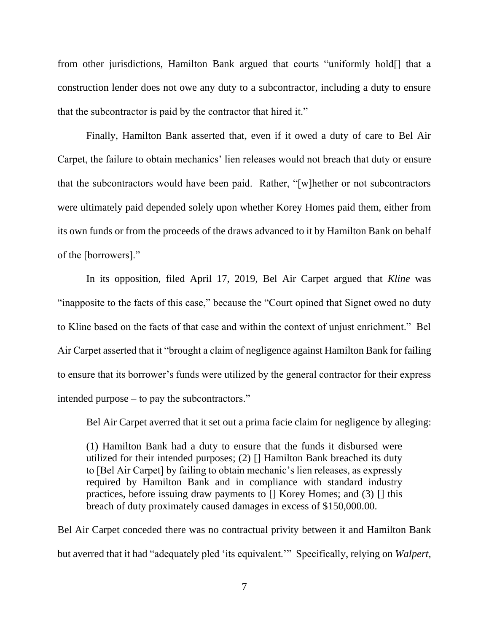from other jurisdictions, Hamilton Bank argued that courts "uniformly hold[] that a construction lender does not owe any duty to a subcontractor, including a duty to ensure that the subcontractor is paid by the contractor that hired it."

Finally, Hamilton Bank asserted that, even if it owed a duty of care to Bel Air Carpet, the failure to obtain mechanics' lien releases would not breach that duty or ensure that the subcontractors would have been paid. Rather, "[w]hether or not subcontractors were ultimately paid depended solely upon whether Korey Homes paid them, either from its own funds or from the proceeds of the draws advanced to it by Hamilton Bank on behalf of the [borrowers]."

In its opposition, filed April 17, 2019, Bel Air Carpet argued that *Kline* was "inapposite to the facts of this case," because the "Court opined that Signet owed no duty to Kline based on the facts of that case and within the context of unjust enrichment." Bel Air Carpet asserted that it "brought a claim of negligence against Hamilton Bank for failing to ensure that its borrower's funds were utilized by the general contractor for their express intended purpose – to pay the subcontractors."

Bel Air Carpet averred that it set out a prima facie claim for negligence by alleging:

(1) Hamilton Bank had a duty to ensure that the funds it disbursed were utilized for their intended purposes; (2) [] Hamilton Bank breached its duty to [Bel Air Carpet] by failing to obtain mechanic's lien releases, as expressly required by Hamilton Bank and in compliance with standard industry practices, before issuing draw payments to [] Korey Homes; and (3) [] this breach of duty proximately caused damages in excess of \$150,000.00.

Bel Air Carpet conceded there was no contractual privity between it and Hamilton Bank but averred that it had "adequately pled 'its equivalent.'" Specifically, relying on *Walpert,*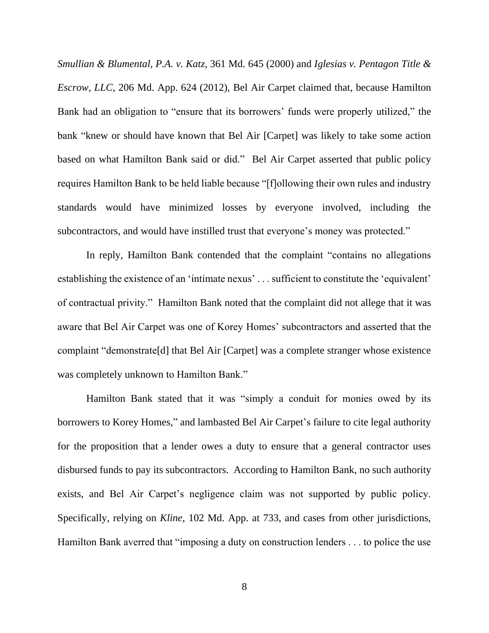*Smullian & Blumental, P.A. v. Katz*, 361 Md. 645 (2000) and *Iglesias v. Pentagon Title & Escrow, LLC*, 206 Md. App. 624 (2012), Bel Air Carpet claimed that, because Hamilton Bank had an obligation to "ensure that its borrowers' funds were properly utilized," the bank "knew or should have known that Bel Air [Carpet] was likely to take some action based on what Hamilton Bank said or did." Bel Air Carpet asserted that public policy requires Hamilton Bank to be held liable because "[f]ollowing their own rules and industry standards would have minimized losses by everyone involved, including the subcontractors, and would have instilled trust that everyone's money was protected."

In reply, Hamilton Bank contended that the complaint "contains no allegations establishing the existence of an 'intimate nexus' . . . sufficient to constitute the 'equivalent' of contractual privity." Hamilton Bank noted that the complaint did not allege that it was aware that Bel Air Carpet was one of Korey Homes' subcontractors and asserted that the complaint "demonstrate[d] that Bel Air [Carpet] was a complete stranger whose existence was completely unknown to Hamilton Bank."

Hamilton Bank stated that it was "simply a conduit for monies owed by its borrowers to Korey Homes," and lambasted Bel Air Carpet's failure to cite legal authority for the proposition that a lender owes a duty to ensure that a general contractor uses disbursed funds to pay its subcontractors. According to Hamilton Bank, no such authority exists, and Bel Air Carpet's negligence claim was not supported by public policy. Specifically, relying on *Kline*, 102 Md. App. at 733, and cases from other jurisdictions, Hamilton Bank averred that "imposing a duty on construction lenders . . . to police the use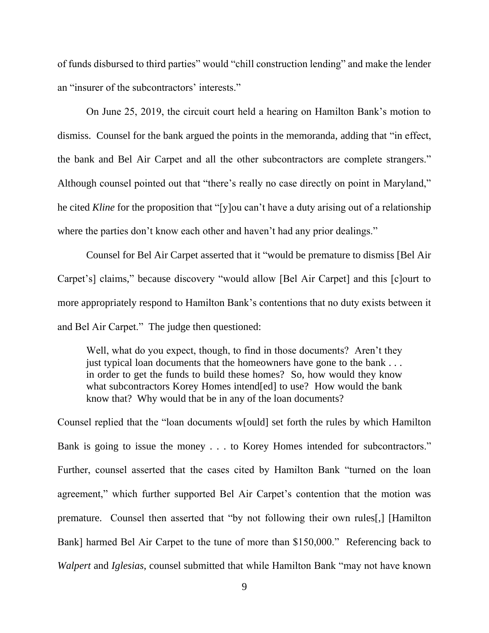of funds disbursed to third parties" would "chill construction lending" and make the lender an "insurer of the subcontractors' interests."

On June 25, 2019, the circuit court held a hearing on Hamilton Bank's motion to dismiss. Counsel for the bank argued the points in the memoranda, adding that "in effect, the bank and Bel Air Carpet and all the other subcontractors are complete strangers." Although counsel pointed out that "there's really no case directly on point in Maryland," he cited *Kline* for the proposition that "[y]ou can't have a duty arising out of a relationship where the parties don't know each other and haven't had any prior dealings."

Counsel for Bel Air Carpet asserted that it "would be premature to dismiss [Bel Air Carpet's] claims," because discovery "would allow [Bel Air Carpet] and this [c]ourt to more appropriately respond to Hamilton Bank's contentions that no duty exists between it and Bel Air Carpet."The judge then questioned:

Well, what do you expect, though, to find in those documents? Aren't they just typical loan documents that the homeowners have gone to the bank . . . in order to get the funds to build these homes? So, how would they know what subcontractors Korey Homes intend[ed] to use? How would the bank know that? Why would that be in any of the loan documents?

Counsel replied that the "loan documents w[ould] set forth the rules by which Hamilton Bank is going to issue the money . . . to Korey Homes intended for subcontractors." Further, counsel asserted that the cases cited by Hamilton Bank "turned on the loan agreement," which further supported Bel Air Carpet's contention that the motion was premature.Counsel then asserted that "by not following their own rules[,] [Hamilton Bank] harmed Bel Air Carpet to the tune of more than \$150,000." Referencing back to *Walpert* and *Iglesias*, counsel submitted that while Hamilton Bank "may not have known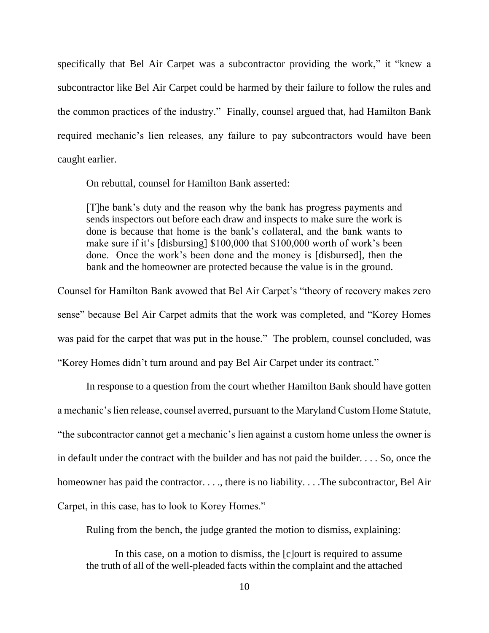specifically that Bel Air Carpet was a subcontractor providing the work," it "knew a subcontractor like Bel Air Carpet could be harmed by their failure to follow the rules and the common practices of the industry." Finally, counsel argued that, had Hamilton Bank required mechanic's lien releases, any failure to pay subcontractors would have been caught earlier.

On rebuttal, counsel for Hamilton Bank asserted:

[T]he bank's duty and the reason why the bank has progress payments and sends inspectors out before each draw and inspects to make sure the work is done is because that home is the bank's collateral, and the bank wants to make sure if it's [disbursing] \$100,000 that \$100,000 worth of work's been done. Once the work's been done and the money is [disbursed], then the bank and the homeowner are protected because the value is in the ground.

Counsel for Hamilton Bank avowed that Bel Air Carpet's "theory of recovery makes zero sense" because Bel Air Carpet admits that the work was completed, and "Korey Homes was paid for the carpet that was put in the house." The problem, counsel concluded, was "Korey Homes didn't turn around and pay Bel Air Carpet under its contract."

In response to a question from the court whether Hamilton Bank should have gotten a mechanic's lien release, counsel averred, pursuant to the Maryland Custom Home Statute, "the subcontractor cannot get a mechanic's lien against a custom home unless the owner is in default under the contract with the builder and has not paid the builder. . . . So, once the homeowner has paid the contractor. . . ., there is no liability. . . . The subcontractor, Bel Air Carpet, in this case, has to look to Korey Homes."

Ruling from the bench, the judge granted the motion to dismiss, explaining:

In this case, on a motion to dismiss, the [c]ourt is required to assume the truth of all of the well-pleaded facts within the complaint and the attached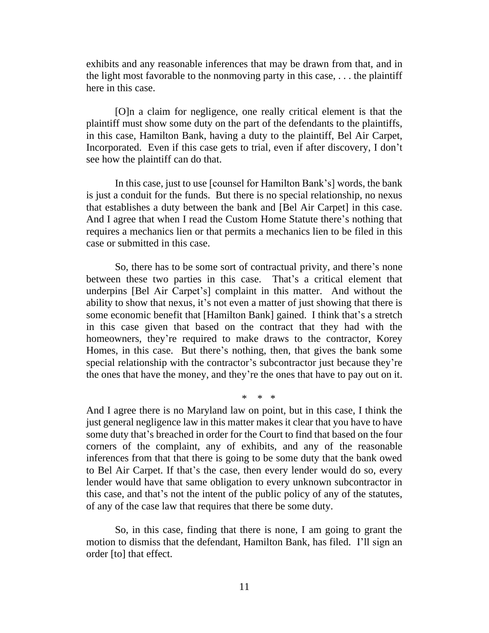exhibits and any reasonable inferences that may be drawn from that, and in the light most favorable to the nonmoving party in this case, . . . the plaintiff here in this case.

[O]n a claim for negligence, one really critical element is that the plaintiff must show some duty on the part of the defendants to the plaintiffs, in this case, Hamilton Bank, having a duty to the plaintiff, Bel Air Carpet, Incorporated. Even if this case gets to trial, even if after discovery, I don't see how the plaintiff can do that.

In this case, just to use [counsel for Hamilton Bank's] words, the bank is just a conduit for the funds. But there is no special relationship, no nexus that establishes a duty between the bank and [Bel Air Carpet] in this case. And I agree that when I read the Custom Home Statute there's nothing that requires a mechanics lien or that permits a mechanics lien to be filed in this case or submitted in this case.

So, there has to be some sort of contractual privity, and there's none between these two parties in this case. That's a critical element that underpins [Bel Air Carpet's] complaint in this matter. And without the ability to show that nexus, it's not even a matter of just showing that there is some economic benefit that [Hamilton Bank] gained. I think that's a stretch in this case given that based on the contract that they had with the homeowners, they're required to make draws to the contractor, Korey Homes, in this case. But there's nothing, then, that gives the bank some special relationship with the contractor's subcontractor just because they're the ones that have the money, and they're the ones that have to pay out on it.

\* \* \*

And I agree there is no Maryland law on point, but in this case, I think the just general negligence law in this matter makes it clear that you have to have some duty that's breached in order for the Court to find that based on the four corners of the complaint, any of exhibits, and any of the reasonable inferences from that that there is going to be some duty that the bank owed to Bel Air Carpet. If that's the case, then every lender would do so, every lender would have that same obligation to every unknown subcontractor in this case, and that's not the intent of the public policy of any of the statutes, of any of the case law that requires that there be some duty.

So, in this case, finding that there is none, I am going to grant the motion to dismiss that the defendant, Hamilton Bank, has filed. I'll sign an order [to] that effect.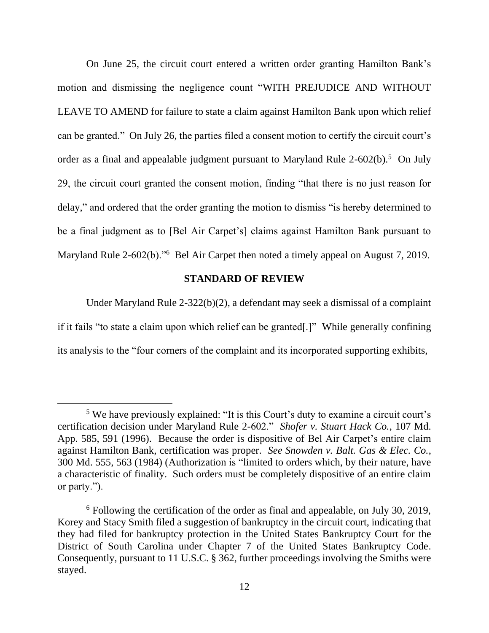On June 25, the circuit court entered a written order granting Hamilton Bank's motion and dismissing the negligence count "WITH PREJUDICE AND WITHOUT LEAVE TO AMEND for failure to state a claim against Hamilton Bank upon which relief can be granted."On July 26, the parties filed a consent motion to certify the circuit court's order as a final and appealable judgment pursuant to Maryland Rule 2-602(b).<sup>5</sup> On July 29, the circuit court granted the consent motion, finding "that there is no just reason for delay," and ordered that the order granting the motion to dismiss "is hereby determined to be a final judgment as to [Bel Air Carpet's] claims against Hamilton Bank pursuant to Maryland Rule 2-602(b)."<sup>6</sup> Bel Air Carpet then noted a timely appeal on August 7, 2019.

## **STANDARD OF REVIEW**

Under Maryland Rule 2-322(b)(2), a defendant may seek a dismissal of a complaint if it fails "to state a claim upon which relief can be granted[.]" While generally confining its analysis to the "four corners of the complaint and its incorporated supporting exhibits,

<sup>5</sup> We have previously explained: "It is this Court's duty to examine a circuit court's certification decision under Maryland Rule 2-602." *Shofer v. Stuart Hack Co.*, 107 Md. App. 585, 591 (1996). Because the order is dispositive of Bel Air Carpet's entire claim against Hamilton Bank, certification was proper. *See Snowden v. Balt. Gas & Elec. Co.*, 300 Md. 555, 563 (1984) (Authorization is "limited to orders which, by their nature, have a characteristic of finality. Such orders must be completely dispositive of an entire claim or party.").

<sup>6</sup> Following the certification of the order as final and appealable, on July 30, 2019, Korey and Stacy Smith filed a suggestion of bankruptcy in the circuit court, indicating that they had filed for bankruptcy protection in the United States Bankruptcy Court for the District of South Carolina under Chapter 7 of the United States Bankruptcy Code. Consequently, pursuant to 11 U.S.C. § 362, further proceedings involving the Smiths were stayed.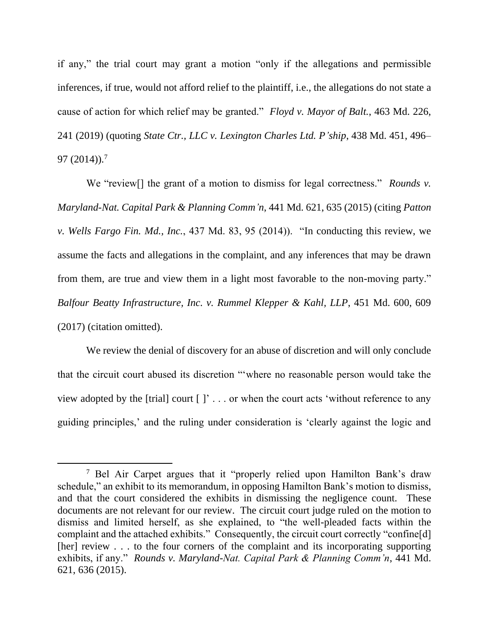if any," the trial court may grant a motion "only if the allegations and permissible inferences, if true, would not afford relief to the plaintiff, i.e., the allegations do not state a cause of action for which relief may be granted." *Floyd v. Mayor of Balt.*, 463 Md. 226, 241 (2019) (quoting *State Ctr., LLC v. Lexington Charles Ltd. P'ship*, 438 Md. 451, 496– 97 (2014)). 7

We "review[] the grant of a motion to dismiss for legal correctness." *Rounds v. Maryland-Nat. Capital Park & Planning Comm'n*, 441 Md. 621, 635 (2015) (citing *Patton v. Wells Fargo Fin. Md., Inc.*, 437 Md. 83, 95 (2014)). "In conducting this review, we assume the facts and allegations in the complaint, and any inferences that may be drawn from them, are true and view them in a light most favorable to the non-moving party." *Balfour Beatty Infrastructure, Inc. v. Rummel Klepper & Kahl, LLP*, 451 Md. 600, 609 (2017) (citation omitted).

We review the denial of discovery for an abuse of discretion and will only conclude that the circuit court abused its discretion "'where no reasonable person would take the view adopted by the [trial] court  $[]$ '... or when the court acts 'without reference to any guiding principles,' and the ruling under consideration is 'clearly against the logic and

<sup>7</sup> Bel Air Carpet argues that it "properly relied upon Hamilton Bank's draw schedule," an exhibit to its memorandum, in opposing Hamilton Bank's motion to dismiss, and that the court considered the exhibits in dismissing the negligence count. These documents are not relevant for our review. The circuit court judge ruled on the motion to dismiss and limited herself, as she explained, to "the well-pleaded facts within the complaint and the attached exhibits." Consequently, the circuit court correctly "confine[d] [her] review . . . to the four corners of the complaint and its incorporating supporting exhibits, if any." *Rounds v. Maryland-Nat. Capital Park & Planning Comm'n*, 441 Md. 621, 636 (2015).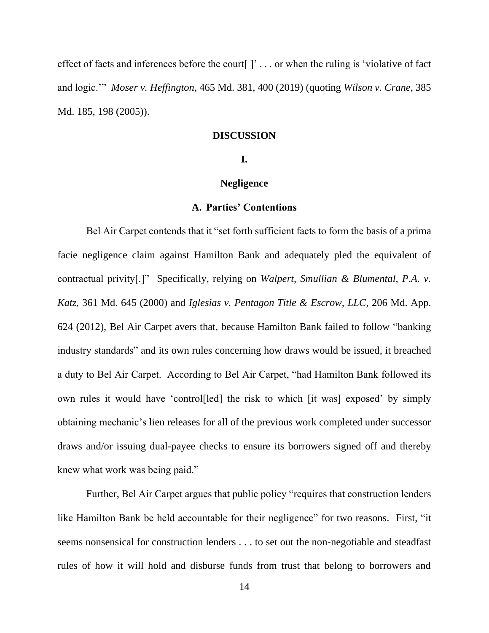effect of facts and inferences before the court  $[$   $]$   $\ldots$  or when the ruling is 'violative of fact and logic.'" *Moser v. Heffington*, 465 Md. 381, 400 (2019) (quoting *Wilson v. Crane*, 385 Md. 185, 198 (2005)).

#### **DISCUSSION**

#### **I.**

#### **Negligence**

## **A. Parties' Contentions**

Bel Air Carpet contends that it "set forth sufficient facts to form the basis of a prima facie negligence claim against Hamilton Bank and adequately pled the equivalent of contractual privity[.]"Specifically, relying on *Walpert, Smullian & Blumental, P.A. v. Katz*, 361 Md. 645 (2000) and *Iglesias v. Pentagon Title & Escrow, LLC*, 206 Md. App. 624 (2012), Bel Air Carpet avers that, because Hamilton Bank failed to follow "banking industry standards" and its own rules concerning how draws would be issued, it breached a duty to Bel Air Carpet. According to Bel Air Carpet, "had Hamilton Bank followed its own rules it would have 'control[led] the risk to which [it was] exposed' by simply obtaining mechanic's lien releases for all of the previous work completed under successor draws and/or issuing dual-payee checks to ensure its borrowers signed off and thereby knew what work was being paid."

Further, Bel Air Carpet argues that public policy "requires that construction lenders like Hamilton Bank be held accountable for their negligence" for two reasons. First, "it seems nonsensical for construction lenders . . . to set out the non-negotiable and steadfast rules of how it will hold and disburse funds from trust that belong to borrowers and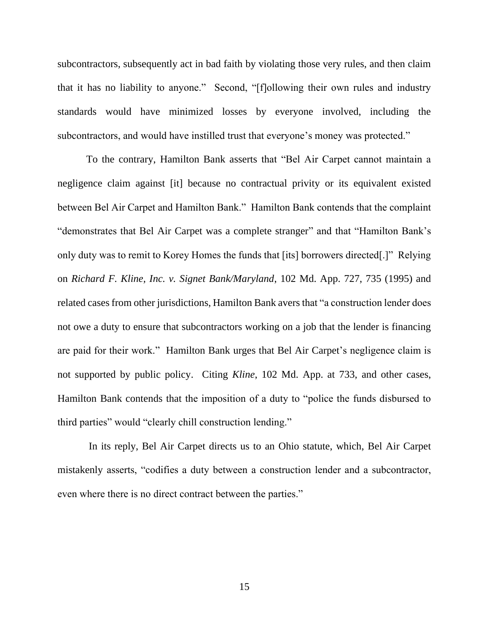subcontractors, subsequently act in bad faith by violating those very rules, and then claim that it has no liability to anyone." Second, "[f]ollowing their own rules and industry standards would have minimized losses by everyone involved, including the subcontractors, and would have instilled trust that everyone's money was protected."

To the contrary, Hamilton Bank asserts that "Bel Air Carpet cannot maintain a negligence claim against [it] because no contractual privity or its equivalent existed between Bel Air Carpet and Hamilton Bank." Hamilton Bank contends that the complaint "demonstrates that Bel Air Carpet was a complete stranger" and that "Hamilton Bank's only duty was to remit to Korey Homes the funds that [its] borrowers directed[.]" Relying on *Richard F. Kline, Inc. v. Signet Bank/Maryland*, 102 Md. App. 727, 735 (1995) and related cases from other jurisdictions, Hamilton Bank avers that "a construction lender does not owe a duty to ensure that subcontractors working on a job that the lender is financing are paid for their work." Hamilton Bank urges that Bel Air Carpet's negligence claim is not supported by public policy.Citing *Kline*, 102 Md. App. at 733, and other cases, Hamilton Bank contends that the imposition of a duty to "police the funds disbursed to third parties" would "clearly chill construction lending."

In its reply, Bel Air Carpet directs us to an Ohio statute, which, Bel Air Carpet mistakenly asserts, "codifies a duty between a construction lender and a subcontractor, even where there is no direct contract between the parties."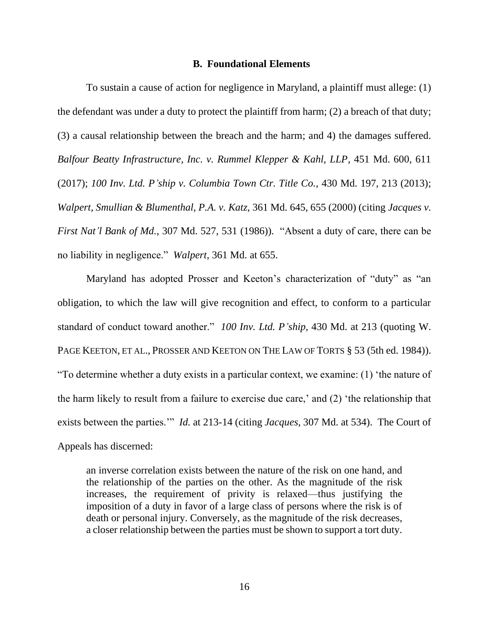#### **B. Foundational Elements**

To sustain a cause of action for negligence in Maryland, a plaintiff must allege: (1) the defendant was under a duty to protect the plaintiff from harm; (2) a breach of that duty; (3) a causal relationship between the breach and the harm; and 4) the damages suffered. *Balfour Beatty Infrastructure, Inc. v. Rummel Klepper & Kahl, LLP*, 451 Md. 600, 611 (2017); *100 Inv. Ltd. P'ship v. Columbia Town Ctr. Title Co.*, 430 Md. 197, 213 (2013); *Walpert, Smullian & Blumenthal, P.A. v. Katz*, 361 Md. 645, 655 (2000) (citing *Jacques v. First Nat'l Bank of Md.*, 307 Md. 527, 531 (1986)). "Absent a duty of care, there can be no liability in negligence." *Walpert*, 361 Md. at 655.

Maryland has adopted Prosser and Keeton's characterization of "duty" as "an obligation, to which the law will give recognition and effect, to conform to a particular standard of conduct toward another." *100 Inv. Ltd. P'ship*, 430 Md. at 213 (quoting W. PAGE KEETON, ET AL., PROSSER AND KEETON ON THE LAW OF TORTS § 53 (5th ed. 1984)). "To determine whether a duty exists in a particular context, we examine: (1) 'the nature of the harm likely to result from a failure to exercise due care,' and (2) 'the relationship that exists between the parties.'" *Id.* at 213-14 (citing *Jacques*, 307 Md. at 534). The Court of Appeals has discerned:

an inverse correlation exists between the nature of the risk on one hand, and the relationship of the parties on the other. As the magnitude of the risk increases, the requirement of privity is relaxed—thus justifying the imposition of a duty in favor of a large class of persons where the risk is of death or personal injury. Conversely, as the magnitude of the risk decreases, a closer relationship between the parties must be shown to support a tort duty.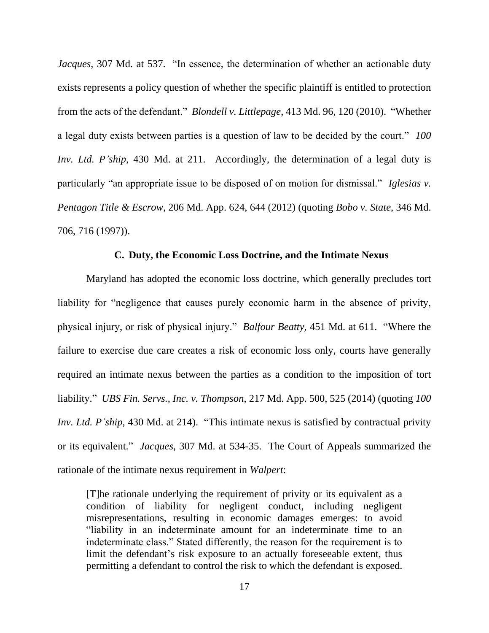*Jacques*, 307 Md. at 537. "In essence, the determination of whether an actionable duty exists represents a policy question of whether the specific plaintiff is entitled to protection from the acts of the defendant." *Blondell v. Littlepage*, 413 Md. 96, 120 (2010). "Whether a legal duty exists between parties is a question of law to be decided by the court." *100 Inv. Ltd. P'ship*, 430 Md. at 211. Accordingly, the determination of a legal duty is particularly "an appropriate issue to be disposed of on motion for dismissal." *Iglesias v. Pentagon Title & Escrow*, 206 Md. App. 624, 644 (2012) (quoting *Bobo v. State*, 346 Md. 706, 716 (1997)).

### **C. Duty, the Economic Loss Doctrine, and the Intimate Nexus**

Maryland has adopted the economic loss doctrine, which generally precludes tort liability for "negligence that causes purely economic harm in the absence of privity, physical injury, or risk of physical injury." *Balfour Beatty*, 451 Md. at 611. "Where the failure to exercise due care creates a risk of economic loss only, courts have generally required an intimate nexus between the parties as a condition to the imposition of tort liability." *UBS Fin. Servs., Inc. v. Thompson*, 217 Md. App. 500, 525 (2014) (quoting *100 Inv. Ltd. P'ship*, 430 Md. at 214). "This intimate nexus is satisfied by contractual privity or its equivalent." *Jacques*, 307 Md. at 534-35. The Court of Appeals summarized the rationale of the intimate nexus requirement in *Walpert*:

[T]he rationale underlying the requirement of privity or its equivalent as a condition of liability for negligent conduct, including negligent misrepresentations, resulting in economic damages emerges: to avoid "liability in an indeterminate amount for an indeterminate time to an indeterminate class." Stated differently, the reason for the requirement is to limit the defendant's risk exposure to an actually foreseeable extent, thus permitting a defendant to control the risk to which the defendant is exposed.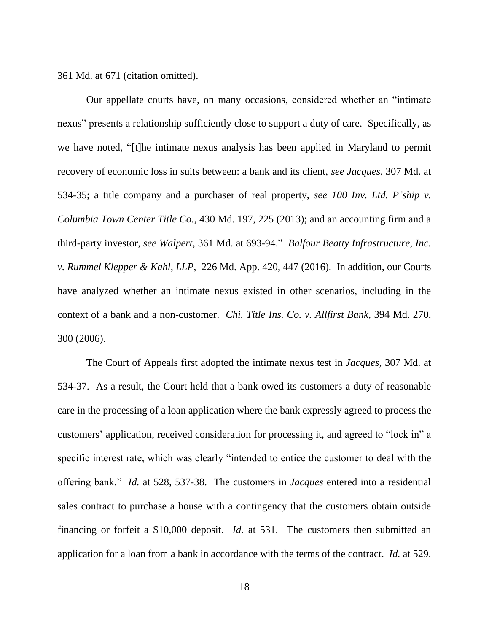361 Md. at 671 (citation omitted).

Our appellate courts have, on many occasions, considered whether an "intimate nexus" presents a relationship sufficiently close to support a duty of care. Specifically, as we have noted, "[t]he intimate nexus analysis has been applied in Maryland to permit recovery of economic loss in suits between: a bank and its client, *see Jacques*, 307 Md. at 534-35; a title company and a purchaser of real property, *see 100 Inv. Ltd. P'ship v. Columbia Town Center Title Co.*, 430 Md. 197, 225 (2013); and an accounting firm and a third-party investor, *see Walpert*, 361 Md. at 693-94." *Balfour Beatty Infrastructure, Inc. v. Rummel Klepper & Kahl, LLP*, 226 Md. App. 420, 447 (2016). In addition, our Courts have analyzed whether an intimate nexus existed in other scenarios, including in the context of a bank and a non-customer. *Chi. Title Ins. Co. v. Allfirst Bank*, 394 Md. 270, 300 (2006).

The Court of Appeals first adopted the intimate nexus test in *Jacques*, 307 Md. at 534-37. As a result, the Court held that a bank owed its customers a duty of reasonable care in the processing of a loan application where the bank expressly agreed to process the customers' application, received consideration for processing it, and agreed to "lock in" a specific interest rate, which was clearly "intended to entice the customer to deal with the offering bank." *Id.* at 528, 537-38. The customers in *Jacques* entered into a residential sales contract to purchase a house with a contingency that the customers obtain outside financing or forfeit a \$10,000 deposit. *Id.* at 531. The customers then submitted an application for a loan from a bank in accordance with the terms of the contract. *Id.* at 529.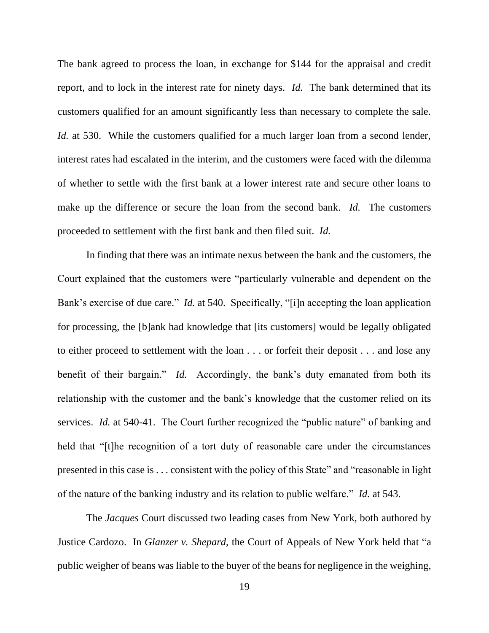The bank agreed to process the loan, in exchange for \$144 for the appraisal and credit report, and to lock in the interest rate for ninety days. *Id.* The bank determined that its customers qualified for an amount significantly less than necessary to complete the sale. *Id.* at 530. While the customers qualified for a much larger loan from a second lender, interest rates had escalated in the interim, and the customers were faced with the dilemma of whether to settle with the first bank at a lower interest rate and secure other loans to make up the difference or secure the loan from the second bank. *Id.* The customers proceeded to settlement with the first bank and then filed suit. *Id.*

In finding that there was an intimate nexus between the bank and the customers, the Court explained that the customers were "particularly vulnerable and dependent on the Bank's exercise of due care." *Id.* at 540. Specifically, "[i]n accepting the loan application for processing, the [b]ank had knowledge that [its customers] would be legally obligated to either proceed to settlement with the loan . . . or forfeit their deposit . . . and lose any benefit of their bargain." *Id.* Accordingly, the bank's duty emanated from both its relationship with the customer and the bank's knowledge that the customer relied on its services. *Id.* at 540-41. The Court further recognized the "public nature" of banking and held that "[t]he recognition of a tort duty of reasonable care under the circumstances presented in this case is . . . consistent with the policy of this State" and "reasonable in light of the nature of the banking industry and its relation to public welfare." *Id.* at 543.

The *Jacques* Court discussed two leading cases from New York, both authored by Justice Cardozo. In *Glanzer v. Shepard*, the Court of Appeals of New York held that "a public weigher of beans was liable to the buyer of the beans for negligence in the weighing,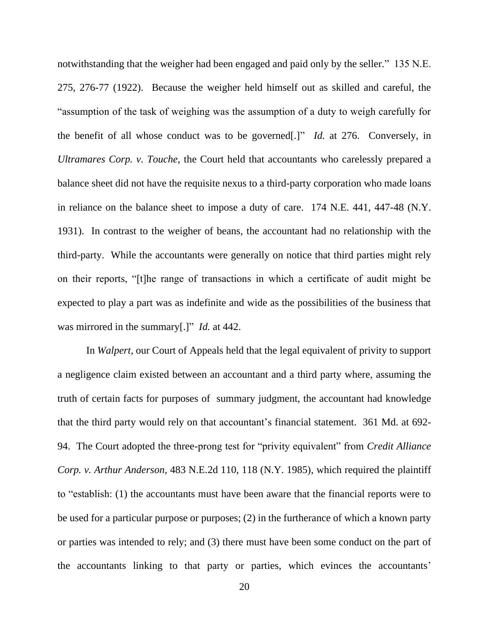notwithstanding that the weigher had been engaged and paid only by the seller." 135 N.E. 275, 276-77 (1922). Because the weigher held himself out as skilled and careful, the "assumption of the task of weighing was the assumption of a duty to weigh carefully for the benefit of all whose conduct was to be governed[.]" *Id.* at 276. Conversely, in *Ultramares Corp. v. Touche*, the Court held that accountants who carelessly prepared a balance sheet did not have the requisite nexus to a third-party corporation who made loans in reliance on the balance sheet to impose a duty of care. 174 N.E. 441, 447-48 (N.Y. 1931). In contrast to the weigher of beans, the accountant had no relationship with the third-party. While the accountants were generally on notice that third parties might rely on their reports, "[t]he range of transactions in which a certificate of audit might be expected to play a part was as indefinite and wide as the possibilities of the business that was mirrored in the summary[.]" *Id.* at 442.

In *Walpert*, our Court of Appeals held that the legal equivalent of privity to support a negligence claim existed between an accountant and a third party where, assuming the truth of certain facts for purposes of summary judgment, the accountant had knowledge that the third party would rely on that accountant's financial statement. 361 Md. at 692- 94. The Court adopted the three-prong test for "privity equivalent" from *Credit Alliance Corp. v. Arthur Anderson*, 483 N.E.2d 110, 118 (N.Y. 1985), which required the plaintiff to "establish: (1) the accountants must have been aware that the financial reports were to be used for a particular purpose or purposes; (2) in the furtherance of which a known party or parties was intended to rely; and (3) there must have been some conduct on the part of the accountants linking to that party or parties, which evinces the accountants'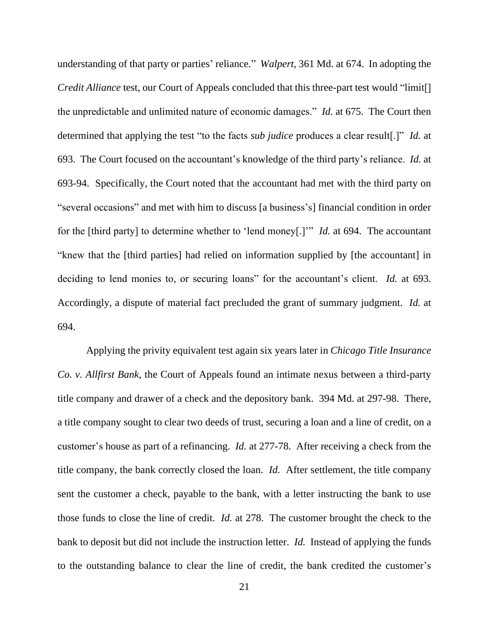understanding of that party or parties' reliance*.*" *Walpert*, 361 Md. at 674. In adopting the *Credit Alliance* test, our Court of Appeals concluded that this three-part test would "limit[] the unpredictable and unlimited nature of economic damages." *Id.* at 675. The Court then determined that applying the test "to the facts *sub judice* produces a clear result[.]" *Id.* at 693. The Court focused on the accountant's knowledge of the third party's reliance. *Id.* at 693-94. Specifically, the Court noted that the accountant had met with the third party on "several occasions" and met with him to discuss [a business's] financial condition in order for the [third party] to determine whether to 'lend money[.]'" *Id.* at 694. The accountant "knew that the [third parties] had relied on information supplied by [the accountant] in deciding to lend monies to, or securing loans" for the accountant's client. *Id.* at 693. Accordingly, a dispute of material fact precluded the grant of summary judgment. *Id.* at 694.

Applying the privity equivalent test again six years later in *Chicago Title Insurance Co. v. Allfirst Bank*, the Court of Appeals found an intimate nexus between a third-party title company and drawer of a check and the depository bank. 394 Md. at 297-98. There, a title company sought to clear two deeds of trust, securing a loan and a line of credit, on a customer's house as part of a refinancing. *Id.* at 277-78. After receiving a check from the title company, the bank correctly closed the loan. *Id.* After settlement, the title company sent the customer a check, payable to the bank, with a letter instructing the bank to use those funds to close the line of credit. *Id.* at 278. The customer brought the check to the bank to deposit but did not include the instruction letter. *Id.* Instead of applying the funds to the outstanding balance to clear the line of credit, the bank credited the customer's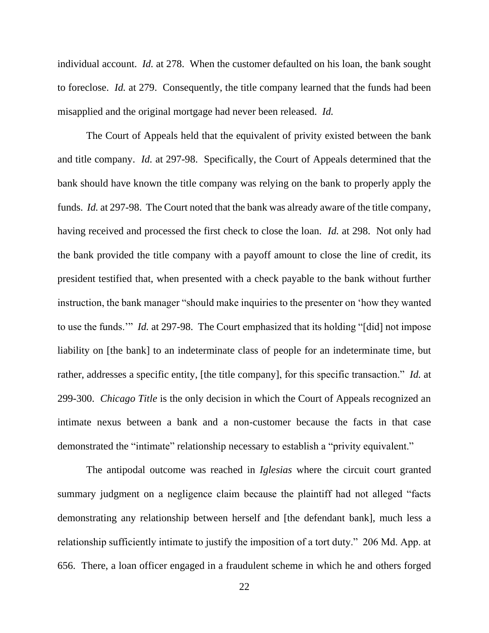individual account. *Id.* at 278. When the customer defaulted on his loan, the bank sought to foreclose. *Id.* at 279. Consequently, the title company learned that the funds had been misapplied and the original mortgage had never been released. *Id.*

The Court of Appeals held that the equivalent of privity existed between the bank and title company. *Id.* at 297-98. Specifically, the Court of Appeals determined that the bank should have known the title company was relying on the bank to properly apply the funds. *Id.* at 297-98. The Court noted that the bank was already aware of the title company, having received and processed the first check to close the loan. *Id.* at 298. Not only had the bank provided the title company with a payoff amount to close the line of credit, its president testified that, when presented with a check payable to the bank without further instruction, the bank manager "should make inquiries to the presenter on 'how they wanted to use the funds.'" *Id.* at 297-98. The Court emphasized that its holding "[did] not impose liability on [the bank] to an indeterminate class of people for an indeterminate time, but rather, addresses a specific entity, [the title company], for this specific transaction." *Id.* at 299-300. *Chicago Title* is the only decision in which the Court of Appeals recognized an intimate nexus between a bank and a non-customer because the facts in that case demonstrated the "intimate" relationship necessary to establish a "privity equivalent."

The antipodal outcome was reached in *Iglesias* where the circuit court granted summary judgment on a negligence claim because the plaintiff had not alleged "facts demonstrating any relationship between herself and [the defendant bank], much less a relationship sufficiently intimate to justify the imposition of a tort duty." 206 Md. App. at 656. There, a loan officer engaged in a fraudulent scheme in which he and others forged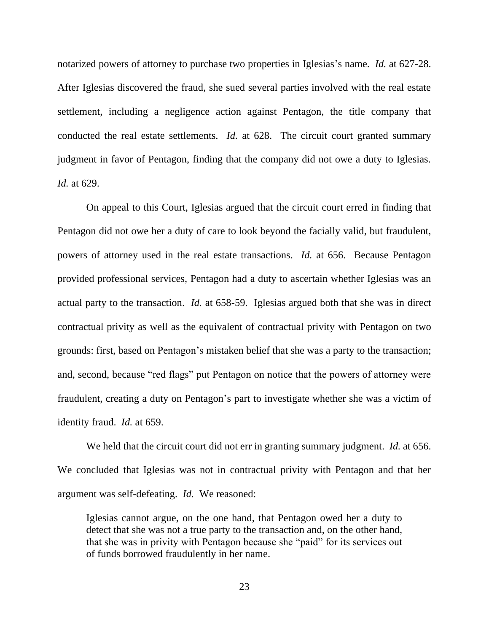notarized powers of attorney to purchase two properties in Iglesias's name. *Id.* at 627-28. After Iglesias discovered the fraud, she sued several parties involved with the real estate settlement, including a negligence action against Pentagon, the title company that conducted the real estate settlements. *Id.* at 628. The circuit court granted summary judgment in favor of Pentagon, finding that the company did not owe a duty to Iglesias. *Id.* at 629.

On appeal to this Court, Iglesias argued that the circuit court erred in finding that Pentagon did not owe her a duty of care to look beyond the facially valid, but fraudulent, powers of attorney used in the real estate transactions. *Id.* at 656. Because Pentagon provided professional services, Pentagon had a duty to ascertain whether Iglesias was an actual party to the transaction. *Id.* at 658-59. Iglesias argued both that she was in direct contractual privity as well as the equivalent of contractual privity with Pentagon on two grounds: first, based on Pentagon's mistaken belief that she was a party to the transaction; and, second, because "red flags" put Pentagon on notice that the powers of attorney were fraudulent, creating a duty on Pentagon's part to investigate whether she was a victim of identity fraud. *Id.* at 659.

We held that the circuit court did not err in granting summary judgment. *Id.* at 656. We concluded that Iglesias was not in contractual privity with Pentagon and that her argument was self-defeating. *Id.* We reasoned:

Iglesias cannot argue, on the one hand, that Pentagon owed her a duty to detect that she was not a true party to the transaction and, on the other hand, that she was in privity with Pentagon because she "paid" for its services out of funds borrowed fraudulently in her name.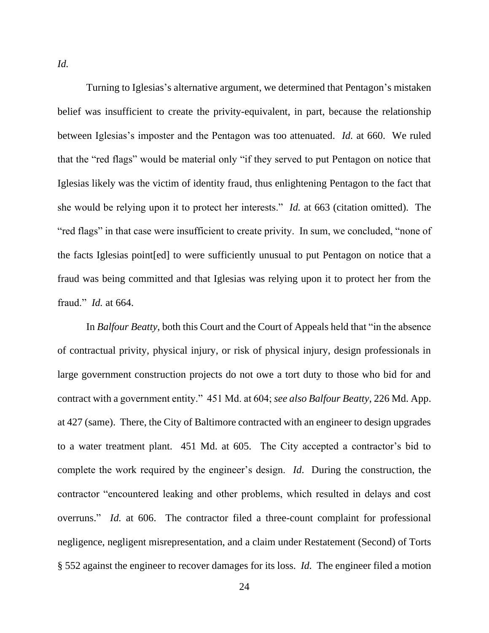*Id.*

Turning to Iglesias's alternative argument, we determined that Pentagon's mistaken belief was insufficient to create the privity-equivalent, in part, because the relationship between Iglesias's imposter and the Pentagon was too attenuated. *Id.* at 660. We ruled that the "red flags" would be material only "if they served to put Pentagon on notice that Iglesias likely was the victim of identity fraud, thus enlightening Pentagon to the fact that she would be relying upon it to protect her interests." *Id.* at 663 (citation omitted). The "red flags" in that case were insufficient to create privity. In sum, we concluded, "none of the facts Iglesias point[ed] to were sufficiently unusual to put Pentagon on notice that a fraud was being committed and that Iglesias was relying upon it to protect her from the fraud." *Id.* at 664.

In *Balfour Beatty*, both this Court and the Court of Appeals held that "in the absence of contractual privity, physical injury, or risk of physical injury, design professionals in large government construction projects do not owe a tort duty to those who bid for and contract with a government entity." 451 Md. at 604; *see also Balfour Beatty*, 226 Md. App. at 427 (same). There, the City of Baltimore contracted with an engineer to design upgrades to a water treatment plant. 451 Md. at 605. The City accepted a contractor's bid to complete the work required by the engineer's design. *Id*. During the construction, the contractor "encountered leaking and other problems, which resulted in delays and cost overruns." *Id.* at 606. The contractor filed a three-count complaint for professional negligence, negligent misrepresentation, and a claim under Restatement (Second) of Torts § 552 against the engineer to recover damages for its loss. *Id.* The engineer filed a motion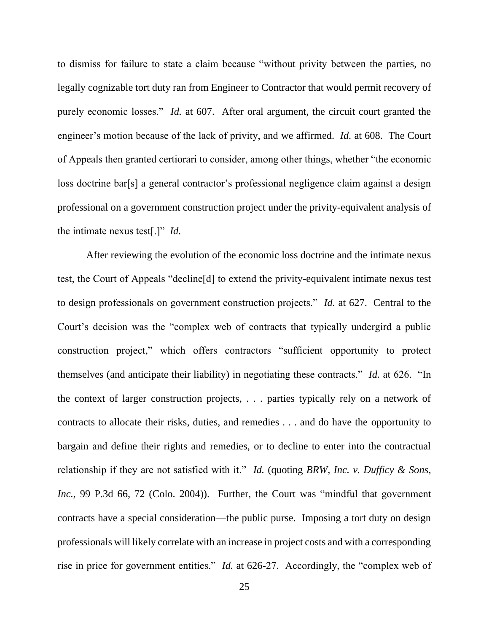to dismiss for failure to state a claim because "without privity between the parties, no legally cognizable tort duty ran from Engineer to Contractor that would permit recovery of purely economic losses." *Id.* at 607. After oral argument, the circuit court granted the engineer's motion because of the lack of privity, and we affirmed. *Id.* at 608. The Court of Appeals then granted certiorari to consider, among other things, whether "the economic loss doctrine bar[s] a general contractor's professional negligence claim against a design professional on a government construction project under the privity-equivalent analysis of the intimate nexus test[.]" *Id.*

After reviewing the evolution of the economic loss doctrine and the intimate nexus test, the Court of Appeals "decline[d] to extend the privity-equivalent intimate nexus test to design professionals on government construction projects." *Id.* at 627. Central to the Court's decision was the "complex web of contracts that typically undergird a public construction project," which offers contractors "sufficient opportunity to protect themselves (and anticipate their liability) in negotiating these contracts." *Id.* at 626. "In the context of larger construction projects, . . . parties typically rely on a network of contracts to allocate their risks, duties, and remedies . . . and do have the opportunity to bargain and define their rights and remedies, or to decline to enter into the contractual relationship if they are not satisfied with it." *Id.* (quoting *BRW, Inc. v. Dufficy & Sons, Inc.*, 99 P.3d 66, 72 (Colo. 2004)). Further, the Court was "mindful that government contracts have a special consideration—the public purse. Imposing a tort duty on design professionals will likely correlate with an increase in project costs and with a corresponding rise in price for government entities." *Id.* at 626-27. Accordingly, the "complex web of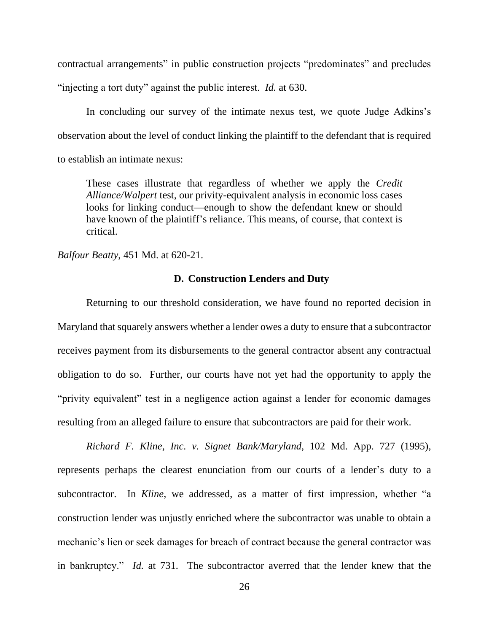contractual arrangements" in public construction projects "predominates" and precludes "injecting a tort duty" against the public interest. *Id.* at 630.

In concluding our survey of the intimate nexus test, we quote Judge Adkins's observation about the level of conduct linking the plaintiff to the defendant that is required to establish an intimate nexus:

These cases illustrate that regardless of whether we apply the *Credit Alliance/Walpert* test, our privity-equivalent analysis in economic loss cases looks for linking conduct—enough to show the defendant knew or should have known of the plaintiff's reliance. This means, of course, that context is critical.

*Balfour Beatty*, 451 Md. at 620-21.

## **D. Construction Lenders and Duty**

Returning to our threshold consideration, we have found no reported decision in Maryland that squarely answers whether a lender owes a duty to ensure that a subcontractor receives payment from its disbursements to the general contractor absent any contractual obligation to do so. Further, our courts have not yet had the opportunity to apply the "privity equivalent" test in a negligence action against a lender for economic damages resulting from an alleged failure to ensure that subcontractors are paid for their work.

*Richard F. Kline, Inc. v. Signet Bank/Maryland*, 102 Md. App. 727 (1995), represents perhaps the clearest enunciation from our courts of a lender's duty to a subcontractor. In *Kline*, we addressed, as a matter of first impression, whether "a construction lender was unjustly enriched where the subcontractor was unable to obtain a mechanic's lien or seek damages for breach of contract because the general contractor was in bankruptcy." *Id.* at 731. The subcontractor averred that the lender knew that the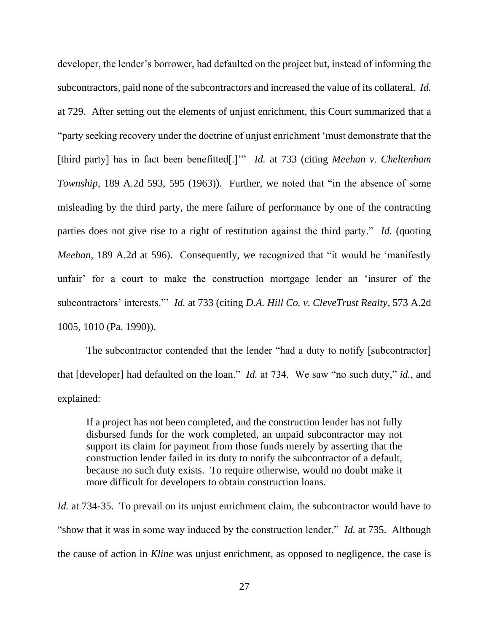developer, the lender's borrower, had defaulted on the project but, instead of informing the subcontractors, paid none of the subcontractors and increased the value of its collateral. *Id.* at 729. After setting out the elements of unjust enrichment, this Court summarized that a "party seeking recovery under the doctrine of unjust enrichment 'must demonstrate that the [third party] has in fact been benefitted[.]'" *Id.* at 733 (citing *Meehan v. Cheltenham Township*, 189 A.2d 593, 595 (1963)). Further, we noted that "in the absence of some misleading by the third party, the mere failure of performance by one of the contracting parties does not give rise to a right of restitution against the third party." *Id.* (quoting *Meehan*, 189 A.2d at 596). Consequently, we recognized that "it would be 'manifestly unfair' for a court to make the construction mortgage lender an 'insurer of the subcontractors' interests."' *Id.* at 733 (citing *D.A. Hill Co. v. CleveTrust Realty*, 573 A.2d 1005, 1010 (Pa. 1990)).

The subcontractor contended that the lender "had a duty to notify [subcontractor] that [developer] had defaulted on the loan." *Id.* at 734. We saw "no such duty," *id.*, and explained:

If a project has not been completed, and the construction lender has not fully disbursed funds for the work completed, an unpaid subcontractor may not support its claim for payment from those funds merely by asserting that the construction lender failed in its duty to notify the subcontractor of a default, because no such duty exists. To require otherwise, would no doubt make it more difficult for developers to obtain construction loans.

*Id.* at 734-35. To prevail on its unjust enrichment claim, the subcontractor would have to "show that it was in some way induced by the construction lender." *Id.* at 735. Although the cause of action in *Kline* was unjust enrichment, as opposed to negligence, the case is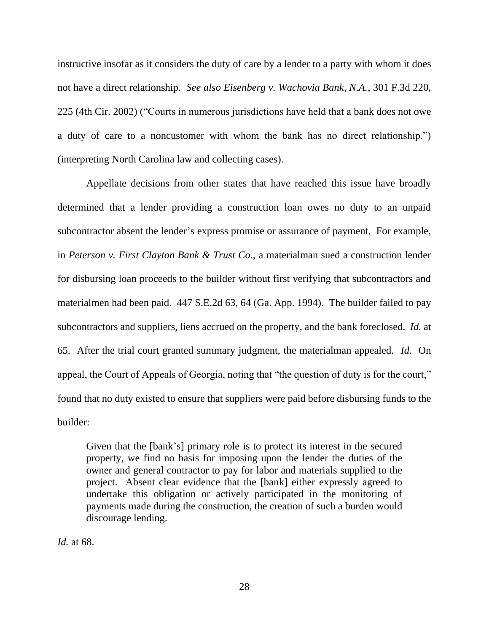instructive insofar as it considers the duty of care by a lender to a party with whom it does not have a direct relationship. *See also Eisenberg v. Wachovia Bank, N.A.*, 301 F.3d 220, 225 (4th Cir. 2002) ("Courts in numerous jurisdictions have held that a bank does not owe a duty of care to a noncustomer with whom the bank has no direct relationship.") (interpreting North Carolina law and collecting cases).

Appellate decisions from other states that have reached this issue have broadly determined that a lender providing a construction loan owes no duty to an unpaid subcontractor absent the lender's express promise or assurance of payment. For example, in *Peterson v. First Clayton Bank & Trust Co.*, a materialman sued a construction lender for disbursing loan proceeds to the builder without first verifying that subcontractors and materialmen had been paid. 447 S.E.2d 63, 64 (Ga. App. 1994). The builder failed to pay subcontractors and suppliers, liens accrued on the property, and the bank foreclosed. *Id.* at 65. After the trial court granted summary judgment, the materialman appealed. *Id.* On appeal, the Court of Appeals of Georgia, noting that "the question of duty is for the court," found that no duty existed to ensure that suppliers were paid before disbursing funds to the builder:

Given that the [bank's] primary role is to protect its interest in the secured property, we find no basis for imposing upon the lender the duties of the owner and general contractor to pay for labor and materials supplied to the project. Absent clear evidence that the [bank] either expressly agreed to undertake this obligation or actively participated in the monitoring of payments made during the construction, the creation of such a burden would discourage lending.

*Id.* at 68.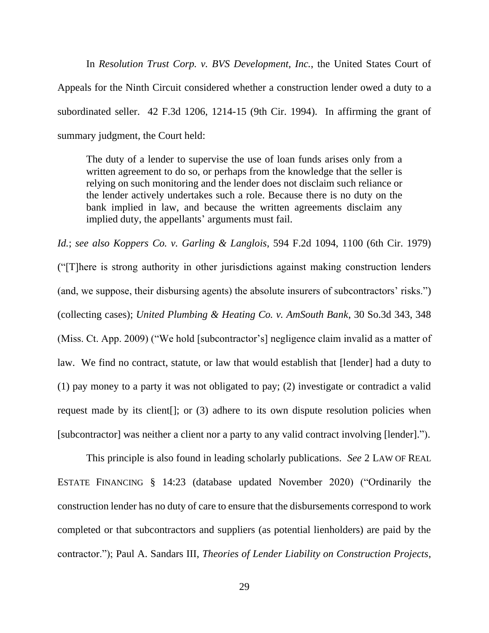In *Resolution Trust Corp. v. BVS Development, Inc.*, the United States Court of Appeals for the Ninth Circuit considered whether a construction lender owed a duty to a subordinated seller. 42 F.3d 1206, 1214-15 (9th Cir. 1994). In affirming the grant of summary judgment, the Court held:

The duty of a lender to supervise the use of loan funds arises only from a written agreement to do so, or perhaps from the knowledge that the seller is relying on such monitoring and the lender does not disclaim such reliance or the lender actively undertakes such a role. Because there is no duty on the bank implied in law, and because the written agreements disclaim any implied duty, the appellants' arguments must fail.

*Id.*; *see also Koppers Co. v. Garling & Langlois*, 594 F.2d 1094, 1100 (6th Cir. 1979) ("[T]here is strong authority in other jurisdictions against making construction lenders (and, we suppose, their disbursing agents) the absolute insurers of subcontractors' risks.") (collecting cases); *United Plumbing & Heating Co. v. AmSouth Bank*, 30 So.3d 343, 348 (Miss. Ct. App. 2009) ("We hold [subcontractor's] negligence claim invalid as a matter of law. We find no contract, statute, or law that would establish that [lender] had a duty to (1) pay money to a party it was not obligated to pay; (2) investigate or contradict a valid request made by its client[]; or (3) adhere to its own dispute resolution policies when [subcontractor] was neither a client nor a party to any valid contract involving [lender].").

This principle is also found in leading scholarly publications. *See* 2 LAW OF REAL ESTATE FINANCING § 14:23 (database updated November 2020) ("Ordinarily the construction lender has no duty of care to ensure that the disbursements correspond to work completed or that subcontractors and suppliers (as potential lienholders) are paid by the contractor."); Paul A. Sandars III, *Theories of Lender Liability on Construction Projects*,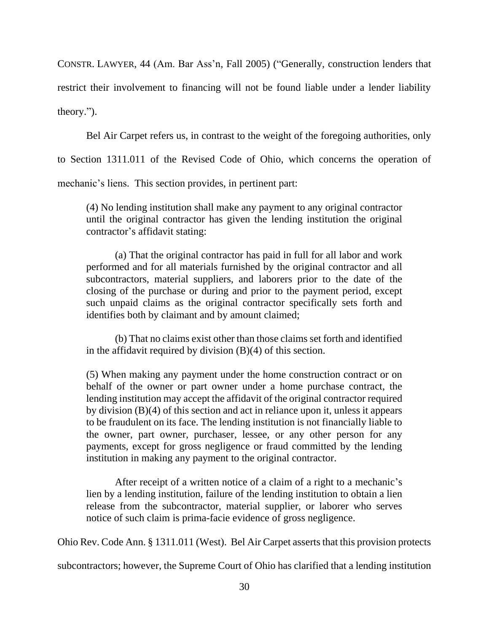CONSTR. LAWYER, 44 (Am. Bar Ass'n, Fall 2005) ("Generally, construction lenders that restrict their involvement to financing will not be found liable under a lender liability theory.").

Bel Air Carpet refers us, in contrast to the weight of the foregoing authorities, only

to Section 1311.011 of the Revised Code of Ohio, which concerns the operation of

mechanic's liens. This section provides, in pertinent part:

(4) No lending institution shall make any payment to any original contractor until the original contractor has given the lending institution the original contractor's affidavit stating:

(a) That the original contractor has paid in full for all labor and work performed and for all materials furnished by the original contractor and all subcontractors, material suppliers, and laborers prior to the date of the closing of the purchase or during and prior to the payment period, except such unpaid claims as the original contractor specifically sets forth and identifies both by claimant and by amount claimed;

(b) That no claims exist other than those claims set forth and identified in the affidavit required by division  $(B)(4)$  of this section.

(5) When making any payment under the home construction contract or on behalf of the owner or part owner under a home purchase contract, the lending institution may accept the affidavit of the original contractor required by division (B)(4) of this section and act in reliance upon it, unless it appears to be fraudulent on its face. The lending institution is not financially liable to the owner, part owner, purchaser, lessee, or any other person for any payments, except for gross negligence or fraud committed by the lending institution in making any payment to the original contractor.

After receipt of a written notice of a claim of a right to a mechanic's lien by a lending institution, failure of the lending institution to obtain a lien release from the subcontractor, material supplier, or laborer who serves notice of such claim is prima-facie evidence of gross negligence.

Ohio Rev. Code Ann. § 1311.011 (West). Bel Air Carpet asserts that this provision protects

subcontractors; however, the Supreme Court of Ohio has clarified that a lending institution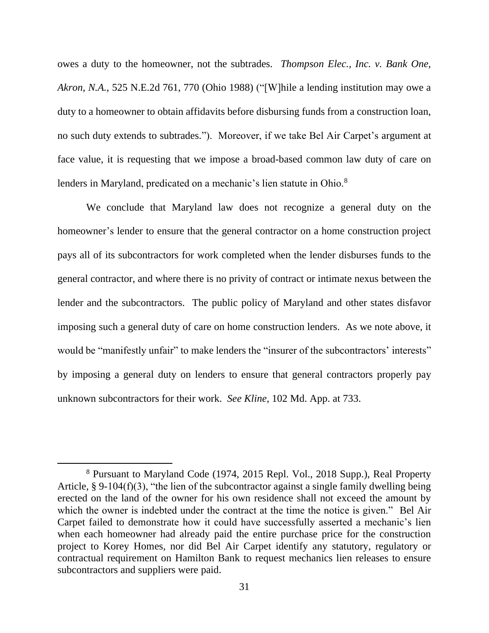owes a duty to the homeowner, not the subtrades. *Thompson Elec., Inc. v. Bank One, Akron, N.A.*, 525 N.E.2d 761, 770 (Ohio 1988) ("[W]hile a lending institution may owe a duty to a homeowner to obtain affidavits before disbursing funds from a construction loan, no such duty extends to subtrades."). Moreover, if we take Bel Air Carpet's argument at face value, it is requesting that we impose a broad-based common law duty of care on lenders in Maryland, predicated on a mechanic's lien statute in Ohio.<sup>8</sup>

We conclude that Maryland law does not recognize a general duty on the homeowner's lender to ensure that the general contractor on a home construction project pays all of its subcontractors for work completed when the lender disburses funds to the general contractor, and where there is no privity of contract or intimate nexus between the lender and the subcontractors. The public policy of Maryland and other states disfavor imposing such a general duty of care on home construction lenders. As we note above, it would be "manifestly unfair" to make lenders the "insurer of the subcontractors' interests" by imposing a general duty on lenders to ensure that general contractors properly pay unknown subcontractors for their work. *See Kline*, 102 Md. App. at 733.

<sup>8</sup> Pursuant to Maryland Code (1974, 2015 Repl. Vol., 2018 Supp.), Real Property Article, § 9-104(f)(3), "the lien of the subcontractor against a single family dwelling being erected on the land of the owner for his own residence shall not exceed the amount by which the owner is indebted under the contract at the time the notice is given." Bel Air Carpet failed to demonstrate how it could have successfully asserted a mechanic's lien when each homeowner had already paid the entire purchase price for the construction project to Korey Homes, nor did Bel Air Carpet identify any statutory, regulatory or contractual requirement on Hamilton Bank to request mechanics lien releases to ensure subcontractors and suppliers were paid.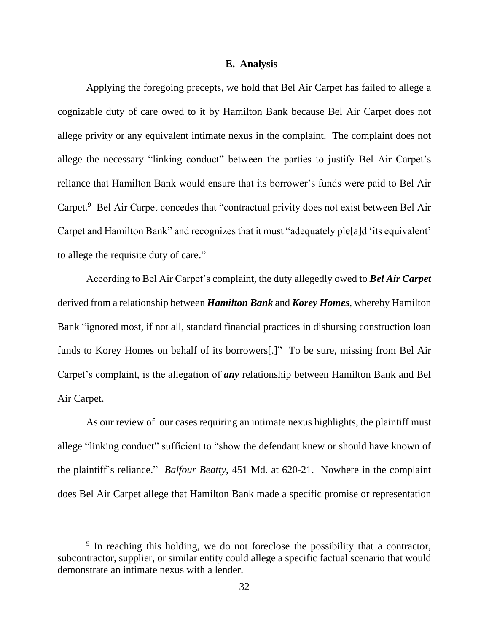### **E. Analysis**

Applying the foregoing precepts, we hold that Bel Air Carpet has failed to allege a cognizable duty of care owed to it by Hamilton Bank because Bel Air Carpet does not allege privity or any equivalent intimate nexus in the complaint. The complaint does not allege the necessary "linking conduct" between the parties to justify Bel Air Carpet's reliance that Hamilton Bank would ensure that its borrower's funds were paid to Bel Air Carpet.<sup>9</sup> Bel Air Carpet concedes that "contractual privity does not exist between Bel Air Carpet and Hamilton Bank" and recognizes that it must "adequately ple[a]d 'its equivalent' to allege the requisite duty of care."

According to Bel Air Carpet's complaint, the duty allegedly owed to *Bel Air Carpet* derived from a relationship between *Hamilton Bank* and *Korey Homes*, whereby Hamilton Bank "ignored most, if not all, standard financial practices in disbursing construction loan funds to Korey Homes on behalf of its borrowers[.]" To be sure, missing from Bel Air Carpet's complaint, is the allegation of *any* relationship between Hamilton Bank and Bel Air Carpet.

As our review of our cases requiring an intimate nexus highlights, the plaintiff must allege "linking conduct" sufficient to "show the defendant knew or should have known of the plaintiff's reliance." *Balfour Beatty*, 451 Md. at 620-21. Nowhere in the complaint does Bel Air Carpet allege that Hamilton Bank made a specific promise or representation

<sup>&</sup>lt;sup>9</sup> In reaching this holding, we do not foreclose the possibility that a contractor, subcontractor, supplier, or similar entity could allege a specific factual scenario that would demonstrate an intimate nexus with a lender.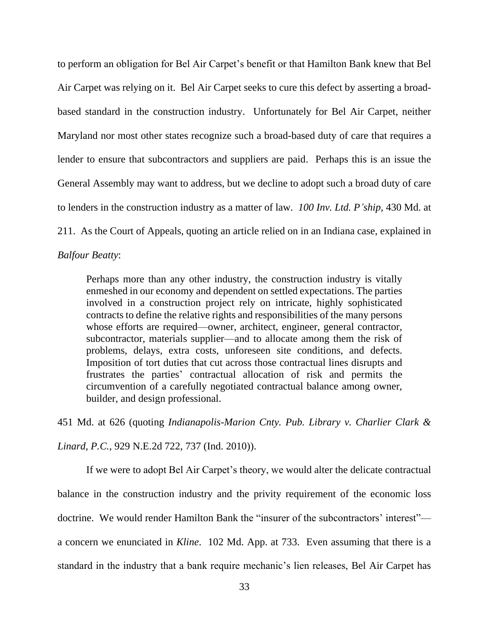to perform an obligation for Bel Air Carpet's benefit or that Hamilton Bank knew that Bel Air Carpet was relying on it. Bel Air Carpet seeks to cure this defect by asserting a broadbased standard in the construction industry. Unfortunately for Bel Air Carpet, neither Maryland nor most other states recognize such a broad-based duty of care that requires a lender to ensure that subcontractors and suppliers are paid. Perhaps this is an issue the General Assembly may want to address, but we decline to adopt such a broad duty of care to lenders in the construction industry as a matter of law. *100 Inv. Ltd. P'ship*, 430 Md. at 211. As the Court of Appeals, quoting an article relied on in an Indiana case, explained in

### *Balfour Beatty*:

Perhaps more than any other industry, the construction industry is vitally enmeshed in our economy and dependent on settled expectations. The parties involved in a construction project rely on intricate, highly sophisticated contracts to define the relative rights and responsibilities of the many persons whose efforts are required—owner, architect, engineer, general contractor, subcontractor, materials supplier—and to allocate among them the risk of problems, delays, extra costs, unforeseen site conditions, and defects. Imposition of tort duties that cut across those contractual lines disrupts and frustrates the parties' contractual allocation of risk and permits the circumvention of a carefully negotiated contractual balance among owner, builder, and design professional.

451 Md. at 626 (quoting *Indianapolis-Marion Cnty. Pub. Library v. Charlier Clark &* 

*Linard, P.C.*, 929 N.E.2d 722, 737 (Ind. 2010)).

If we were to adopt Bel Air Carpet's theory, we would alter the delicate contractual balance in the construction industry and the privity requirement of the economic loss doctrine. We would render Hamilton Bank the "insurer of the subcontractors' interest" a concern we enunciated in *Kline*. 102 Md. App. at 733. Even assuming that there is a standard in the industry that a bank require mechanic's lien releases, Bel Air Carpet has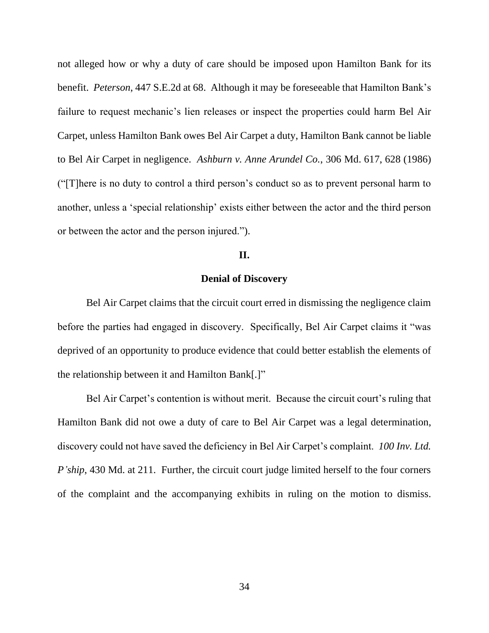not alleged how or why a duty of care should be imposed upon Hamilton Bank for its benefit. *Peterson*, 447 S.E.2d at 68. Although it may be foreseeable that Hamilton Bank's failure to request mechanic's lien releases or inspect the properties could harm Bel Air Carpet, unless Hamilton Bank owes Bel Air Carpet a duty, Hamilton Bank cannot be liable to Bel Air Carpet in negligence. *Ashburn v. Anne Arundel Co.*, 306 Md. 617, 628 (1986) ("[T]here is no duty to control a third person's conduct so as to prevent personal harm to another, unless a 'special relationship' exists either between the actor and the third person or between the actor and the person injured.").

### **II.**

#### **Denial of Discovery**

Bel Air Carpet claims that the circuit court erred in dismissing the negligence claim before the parties had engaged in discovery. Specifically, Bel Air Carpet claims it "was deprived of an opportunity to produce evidence that could better establish the elements of the relationship between it and Hamilton Bank[.]"

Bel Air Carpet's contention is without merit. Because the circuit court's ruling that Hamilton Bank did not owe a duty of care to Bel Air Carpet was a legal determination, discovery could not have saved the deficiency in Bel Air Carpet's complaint. *100 Inv. Ltd. P'ship*, 430 Md. at 211. Further, the circuit court judge limited herself to the four corners of the complaint and the accompanying exhibits in ruling on the motion to dismiss.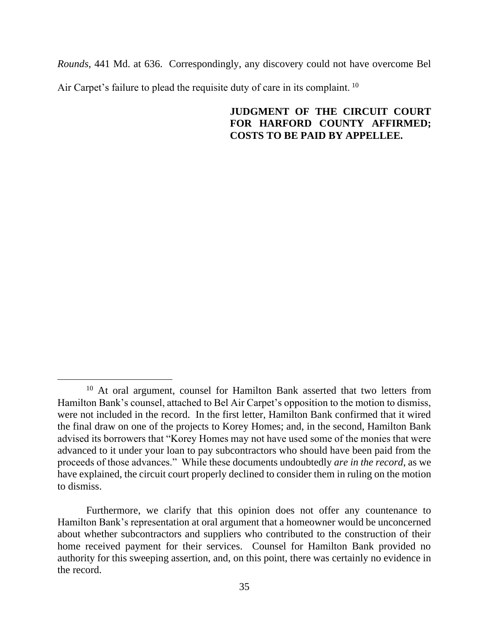*Rounds*, 441 Md. at 636. Correspondingly, any discovery could not have overcome Bel Air Carpet's failure to plead the requisite duty of care in its complaint. <sup>10</sup>

# **JUDGMENT OF THE CIRCUIT COURT FOR HARFORD COUNTY AFFIRMED; COSTS TO BE PAID BY APPELLEE.**

<sup>&</sup>lt;sup>10</sup> At oral argument, counsel for Hamilton Bank asserted that two letters from Hamilton Bank's counsel, attached to Bel Air Carpet's opposition to the motion to dismiss, were not included in the record. In the first letter, Hamilton Bank confirmed that it wired the final draw on one of the projects to Korey Homes; and, in the second, Hamilton Bank advised its borrowers that "Korey Homes may not have used some of the monies that were advanced to it under your loan to pay subcontractors who should have been paid from the proceeds of those advances." While these documents undoubtedly *are in the record*, as we have explained, the circuit court properly declined to consider them in ruling on the motion to dismiss.

Furthermore, we clarify that this opinion does not offer any countenance to Hamilton Bank's representation at oral argument that a homeowner would be unconcerned about whether subcontractors and suppliers who contributed to the construction of their home received payment for their services. Counsel for Hamilton Bank provided no authority for this sweeping assertion, and, on this point, there was certainly no evidence in the record.